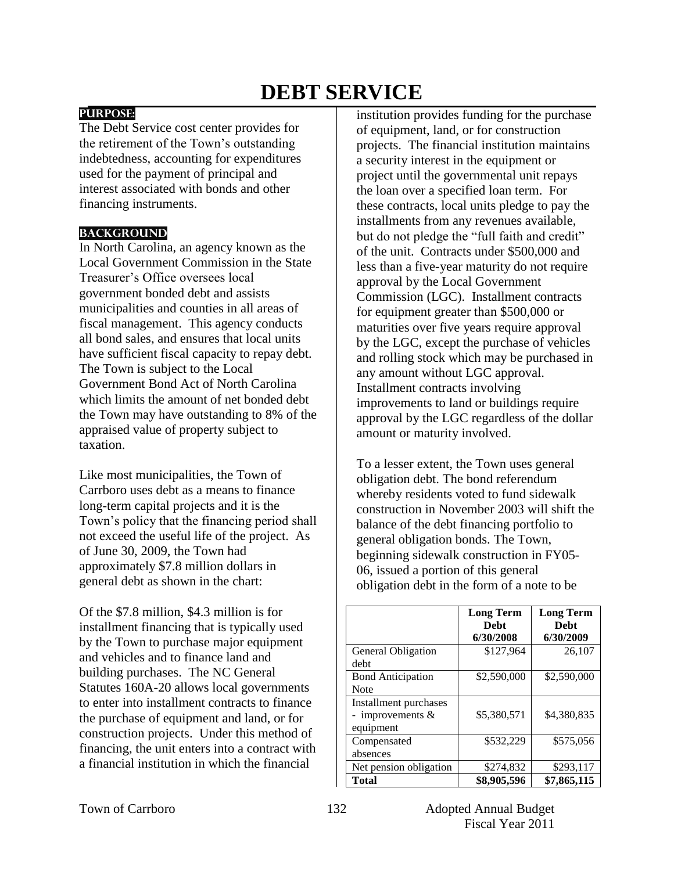# **DEBT SERVICE**

## **PURPOSE:**

The Debt Service cost center provides for the retirement of the Town's outstanding indebtedness, accounting for expenditures used for the payment of principal and interest associated with bonds and other financing instruments.

### **BACKGROUND**

In North Carolina, an agency known as the Local Government Commission in the State Treasurer's Office oversees local government bonded debt and assists municipalities and counties in all areas of fiscal management. This agency conducts all bond sales, and ensures that local units have sufficient fiscal capacity to repay debt. The Town is subject to the Local Government Bond Act of North Carolina which limits the amount of net bonded debt the Town may have outstanding to 8% of the appraised value of property subject to taxation.

Like most municipalities, the Town of Carrboro uses debt as a means to finance long-term capital projects and it is the Town's policy that the financing period shall not exceed the useful life of the project. As of June 30, 2009, the Town had approximately \$7.8 million dollars in general debt as shown in the chart:

Of the \$7.8 million, \$4.3 million is for installment financing that is typically used by the Town to purchase major equipment and vehicles and to finance land and building purchases. The NC General Statutes 160A-20 allows local governments to enter into installment contracts to finance the purchase of equipment and land, or for construction projects. Under this method of financing, the unit enters into a contract with a financial institution in which the financial

institution provides funding for the purchase of equipment, land, or for construction projects. The financial institution maintains a security interest in the equipment or project until the governmental unit repays the loan over a specified loan term. For these contracts, local units pledge to pay the installments from any revenues available, but do not pledge the "full faith and credit" of the unit. Contracts under \$500,000 and less than a five-year maturity do not require approval by the Local Government Commission (LGC). Installment contracts for equipment greater than \$500,000 or maturities over five years require approval by the LGC, except the purchase of vehicles and rolling stock which may be purchased in any amount without LGC approval. Installment contracts involving improvements to land or buildings require approval by the LGC regardless of the dollar amount or maturity involved.

To a lesser extent, the Town uses general obligation debt. The bond referendum whereby residents voted to fund sidewalk construction in November 2003 will shift the balance of the debt financing portfolio to general obligation bonds. The Town, beginning sidewalk construction in FY05- 06, issued a portion of this general obligation debt in the form of a note to be

|                          | <b>Long Term</b><br><b>Debt</b> | <b>Long Term</b><br><b>Debt</b> |
|--------------------------|---------------------------------|---------------------------------|
|                          | 6/30/2008                       | 6/30/2009                       |
| General Obligation       | \$127,964                       | 26,107                          |
| debt                     |                                 |                                 |
| <b>Bond Anticipation</b> | \$2,590,000                     | \$2,590,000                     |
| <b>Note</b>              |                                 |                                 |
| Installment purchases    |                                 |                                 |
| - improvements $&$       | \$5,380,571                     | \$4,380,835                     |
| equipment                |                                 |                                 |
| Compensated              | \$532,229                       | \$575,056                       |
| absences                 |                                 |                                 |
| Net pension obligation   | \$274,832                       | \$293,117                       |
| <b>Total</b>             | \$8,905,596                     | \$7,865,115                     |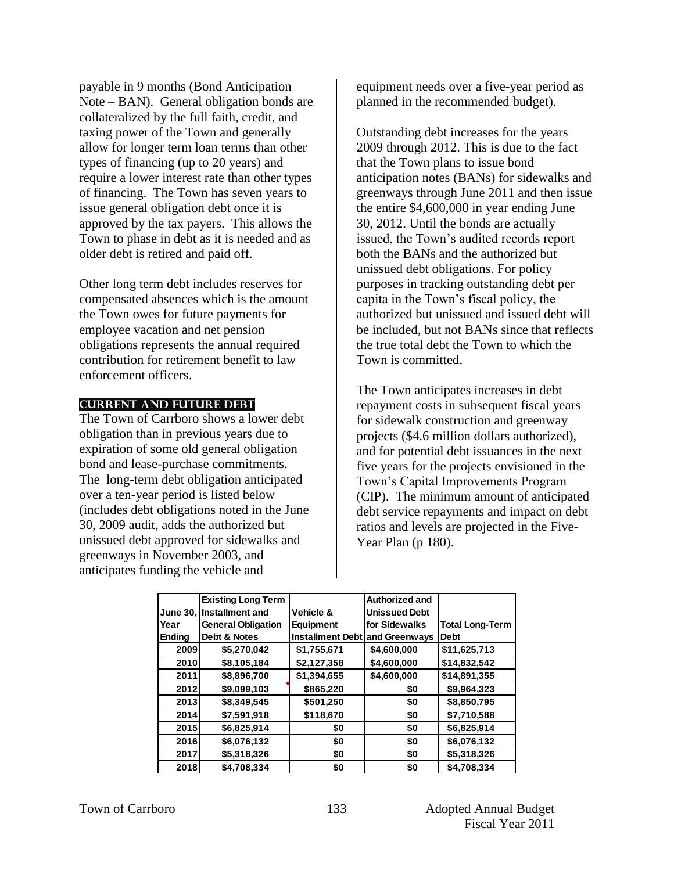payable in 9 months (Bond Anticipation Note – BAN). General obligation bonds are collateralized by the full faith, credit, and taxing power of the Town and generally allow for longer term loan terms than other types of financing (up to 20 years) and require a lower interest rate than other types of financing. The Town has seven years to issue general obligation debt once it is approved by the tax payers. This allows the Town to phase in debt as it is needed and as older debt is retired and paid off.

Other long term debt includes reserves for compensated absences which is the amount the Town owes for future payments for employee vacation and net pension obligations represents the annual required contribution for retirement benefit to law enforcement officers.

#### **Current AND FUTURE Debt**

The Town of Carrboro shows a lower debt obligation than in previous years due to expiration of some old general obligation bond and lease-purchase commitments. The long-term debt obligation anticipated over a ten-year period is listed below (includes debt obligations noted in the June 30, 2009 audit, adds the authorized but unissued debt approved for sidewalks and greenways in November 2003, and anticipates funding the vehicle and

equipment needs over a five-year period as planned in the recommended budget).

Outstanding debt increases for the years 2009 through 2012. This is due to the fact that the Town plans to issue bond anticipation notes (BANs) for sidewalks and greenways through June 2011 and then issue the entire \$4,600,000 in year ending June 30, 2012. Until the bonds are actually issued, the Town's audited records report both the BANs and the authorized but unissued debt obligations. For policy purposes in tracking outstanding debt per capita in the Town's fiscal policy, the authorized but unissued and issued debt will be included, but not BANs since that reflects the true total debt the Town to which the Town is committed.

The Town anticipates increases in debt repayment costs in subsequent fiscal years for sidewalk construction and greenway projects (\$4.6 million dollars authorized), and for potential debt issuances in the next five years for the projects envisioned in the Town's Capital Improvements Program (CIP). The minimum amount of anticipated debt service repayments and impact on debt ratios and levels are projected in the Five-Year Plan (p 180).

|               | <b>Existing Long Term</b> |                                | <b>Authorized and</b> |                        |
|---------------|---------------------------|--------------------------------|-----------------------|------------------------|
|               | June 30, Installment and  | Vehicle &                      | <b>Unissued Debt</b>  |                        |
| Year          | <b>General Obligation</b> | <b>Equipment</b>               | for Sidewalks         | <b>Total Long-Term</b> |
| <b>Ending</b> | Debt & Notes              | Installment Debt and Greenways |                       | <b>Debt</b>            |
| 2009          | \$5,270,042               | \$1,755,671                    | \$4,600,000           | \$11,625,713           |
| 2010          | \$8,105,184               | \$2,127,358                    | \$4,600,000           | \$14,832,542           |
| 2011          | \$8,896,700               | \$1,394,655                    | \$4,600,000           | \$14,891,355           |
| 2012          | \$9.099.103               | \$865,220                      | \$0                   | \$9.964.323            |
| 2013          | \$8,349,545               | \$501,250                      | \$0                   | \$8,850,795            |
| 2014          | \$7,591,918               | \$118,670                      | \$0                   | \$7,710,588            |
| 2015          | \$6,825,914               | \$0                            | \$0                   | \$6,825,914            |
| 2016          | \$6,076,132               | \$0                            | \$0                   | \$6,076,132            |
| 2017          | \$5,318,326               | \$0                            | \$0                   | \$5,318,326            |
| 2018          | \$4,708,334               | \$0                            | \$0                   | \$4,708,334            |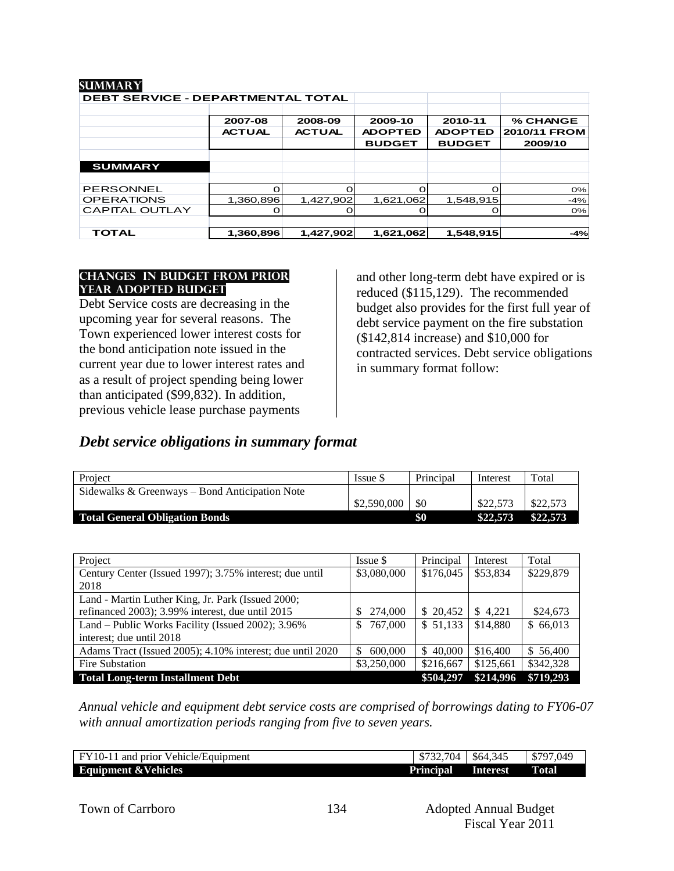| SUMMAR I                                 |               |               |                |                |              |
|------------------------------------------|---------------|---------------|----------------|----------------|--------------|
| <b>DEBT SERVICE - DEPARTMENTAL TOTAL</b> |               |               |                |                |              |
|                                          |               |               |                |                |              |
|                                          | 2007-08       | 2008-09       | 2009-10        | 2010-11        | % CHANGE     |
|                                          | <b>ACTUAL</b> | <b>ACTUAL</b> | <b>ADOPTED</b> | <b>ADOPTED</b> | 2010/11 FROM |
|                                          |               |               | <b>BUDGET</b>  | <b>BUDGET</b>  | 2009/10      |
|                                          |               |               |                |                |              |
| <b>SUMMARY</b>                           |               |               |                |                |              |
|                                          |               |               |                |                |              |
| PERSONNEL                                |               | $\Omega$      | $\Omega$       |                | 0%           |
| <b>OPERATIONS</b>                        | 1,360,896     | 1,427,902     | 1,621,062      | 1,548,915      | $-4%$        |
| <b>CAPITAL OUTLAY</b>                    |               |               |                |                | $O\%$        |
|                                          |               |               |                |                |              |
| <b>TOTAL</b>                             | 1,360,896     | 1,427,902     | 1,621,062      | 1,548,915      | $-4%$        |

#### **changes in budget from prior year adopted budget**

**summary**

Debt Service costs are decreasing in the upcoming year for several reasons. The Town experienced lower interest costs for the bond anticipation note issued in the current year due to lower interest rates and as a result of project spending being lower than anticipated (\$99,832). In addition, previous vehicle lease purchase payments

and other long-term debt have expired or is reduced (\$115,129). The recommended budget also provides for the first full year of debt service payment on the fire substation (\$142,814 increase) and \$10,000 for contracted services. Debt service obligations in summary format follow:

# *Debt service obligations in summary format*

| Project                                        | Issue \$    | Principal | Interest | Total    |
|------------------------------------------------|-------------|-----------|----------|----------|
| Sidewalks & Greenways – Bond Anticipation Note |             |           |          |          |
|                                                | \$2,590,000 | \$0       | \$22,573 | \$22,573 |
| <b>Total General Obligation Bonds</b>          |             | \$0       | \$22,573 | \$22,573 |

| Project                                                   | Issue \$     | Principal | Interest  | Total     |
|-----------------------------------------------------------|--------------|-----------|-----------|-----------|
| Century Center (Issued 1997); 3.75% interest; due until   | \$3,080,000  | \$176,045 | \$53,834  | \$229,879 |
| 2018                                                      |              |           |           |           |
| Land - Martin Luther King, Jr. Park (Issued 2000;         |              |           |           |           |
| refinanced 2003); 3.99% interest, due until 2015          | 274,000      | \$20.452  | \$4.221   | \$24,673  |
| Land – Public Works Facility (Issued 2002); 3.96%         | 767,000<br>S | \$51,133  | \$14,880  | \$66,013  |
| interest; due until 2018                                  |              |           |           |           |
| Adams Tract (Issued 2005); 4.10% interest; due until 2020 | 600,000      | \$40,000  | \$16,400  | \$56,400  |
| Fire Substation                                           | \$3,250,000  | \$216,667 | \$125,661 | \$342,328 |
| <b>Total Long-term Installment Debt</b>                   |              | \$504,297 | \$214,996 | \$719,293 |

*Annual vehicle and equipment debt service costs are comprised of borrowings dating to FY06-07 with annual amortization periods ranging from five to seven years.*

| FY10-11 and prior Vehicle/Equipment | $\$732.704$      | \$64,345 | \$797,049 |
|-------------------------------------|------------------|----------|-----------|
| <b>Equipment &amp; Vehicles</b>     | <b>Principal</b> | Interest | Total     |